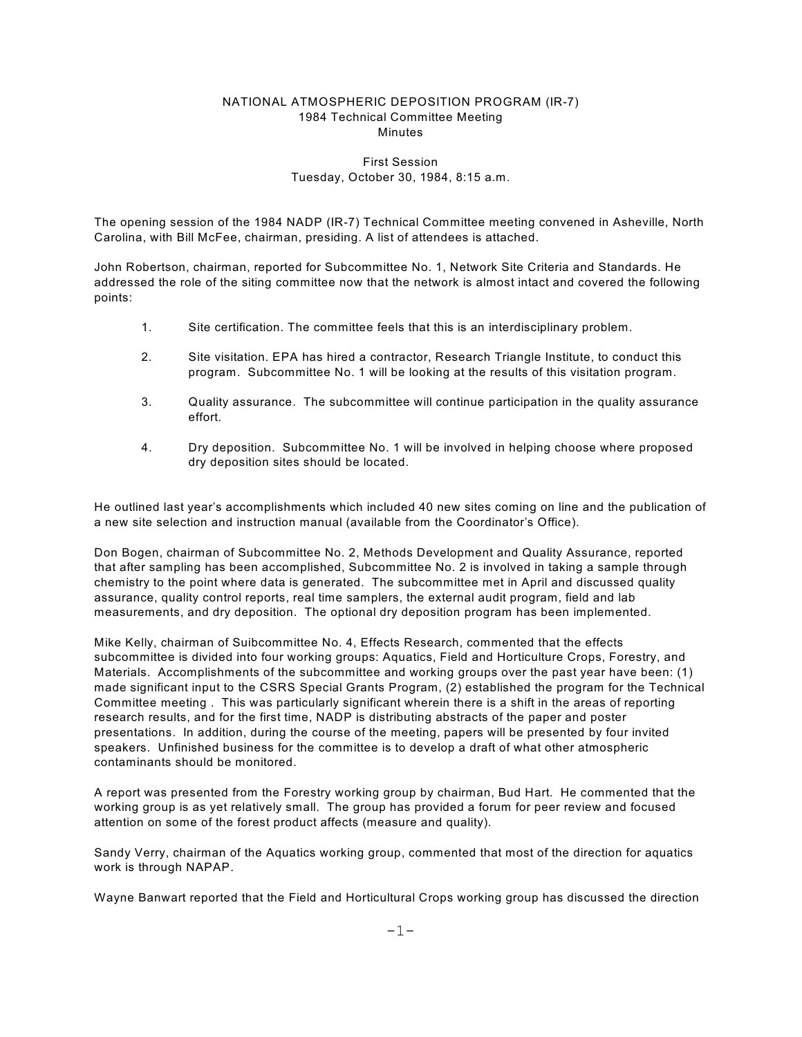## NATIONAL ATMOSPHERIC DEPOSITION PROGRAM (IR-7) 1984 Technical Committee Meeting Minutes

# First Session Tuesday, October 30, 1984, 8:15 a.m.

The opening session of the 1984 NADP (IR-7) Technical Committee meeting convened in Asheville, North Carolina, with Bill McFee, chairman, presiding. A list of attendees is attached.

John Robertson, chairman, reported for Subcommittee No. 1, Network Site Criteria and Standards. He addressed the role of the siting committee now that the network is almost intact and covered the following points:

- 1. Site certification. The committee feels that this is an interdisciplinary problem.
- 2. Site visitation. EPA has hired a contractor, Research Triangle Institute, to conduct this program. Subcommittee No. 1 will be looking at the results of this visitation program.
- 3. Quality assurance. The subcommittee will continue participation in the quality assurance effort.
- 4. Dry deposition. Subcommittee No. 1 will be involved in helping choose where proposed dry deposition sites should be located.

He outlined last year's accomplishments which included 40 new sites coming on line and the publication of a new site selection and instruction manual (available from the Coordinator's Office).

Don Bogen, chairman of Subcommittee No. 2, Methods Development and Quality Assurance, reported that after sampling has been accomplished, Subcommittee No. 2 is involved in taking a sample through chemistry to the point where data is generated. The subcommittee met in April and discussed quality assurance, quality control reports, real time samplers, the external audit program, field and lab measurements, and dry deposition. The optional dry deposition program has been implemented.

Mike Kelly, chairman of Suibcommittee No. 4, Effects Research, commented that the effects subcommittee is divided into four working groups: Aquatics, Field and Horticulture Crops, Forestry, and Materials. Accomplishments of the subcommittee and working groups over the past year have been: (1) made significant input to the CSRS Special Grants Program, (2) established the program for the Technical Committee meeting . This was particularly significant wherein there is a shift in the areas of reporting research results, and for the first time, NADP is distributing abstracts of the paper and poster presentations. In addition, during the course of the meeting, papers will be presented by four invited speakers. Unfinished business for the committee is to develop a draft of what other atmospheric contaminants should be monitored.

A report was presented from the Forestry working group by chairman, Bud Hart. He commented that the working group is as yet relatively small. The group has provided a forum for peer review and focused attention on some of the forest product affects (measure and quality).

Sandy Verry, chairman of the Aquatics working group, commented that most of the direction for aquatics work is through NAPAP.

Wayne Banwart reported that the Field and Horticultural Crops working group has discussed the direction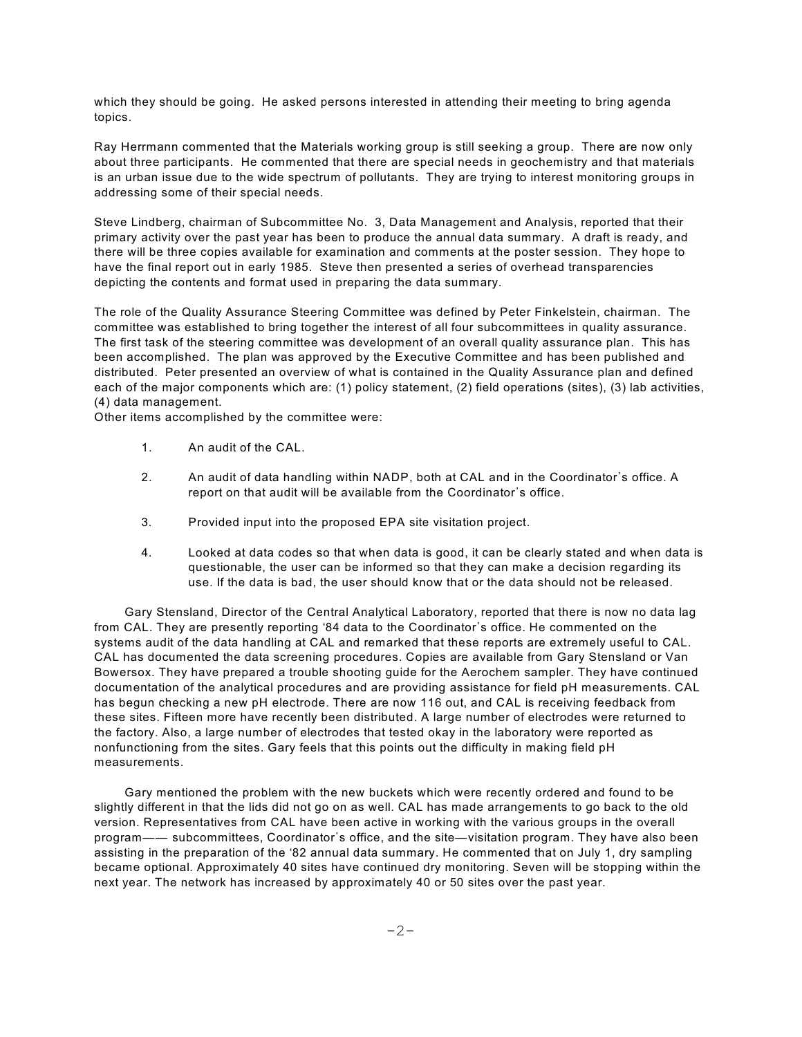which they should be going. He asked persons interested in attending their meeting to bring agenda topics.

Ray Herrmann commented that the Materials working group is still seeking a group. There are now only about three participants. He commented that there are special needs in geochemistry and that materials is an urban issue due to the wide spectrum of pollutants. They are trying to interest monitoring groups in addressing some of their special needs.

Steve Lindberg, chairman of Subcommittee No. 3, Data Management and Analysis, reported that their primary activity over the past year has been to produce the annual data summary. A draft is ready, and there will be three copies available for examination and comments at the poster session. They hope to have the final report out in early 1985. Steve then presented a series of overhead transparencies depicting the contents and format used in preparing the data summary.

The role of the Quality Assurance Steering Committee was defined by Peter Finkelstein, chairman. The committee was established to bring together the interest of all four subcommittees in quality assurance. The first task of the steering committee was development of an overall quality assurance plan. This has been accomplished. The plan was approved by the Executive Committee and has been published and distributed. Peter presented an overview of what is contained in the Quality Assurance plan and defined each of the major components which are: (1) policy statement, (2) field operations (sites), (3) lab activities, (4) data management.

Other items accomplished by the committee were:

- 1. An audit of the CAL.
- 2. An audit of data handling within NADP, both at CAL and in the Coordinator's office. A report on that audit will be available from the Coordinator's office.
- 3. Provided input into the proposed EPA site visitation project.
- 4. Looked at data codes so that when data is good, it can be clearly stated and when data is questionable, the user can be informed so that they can make a decision regarding its use. If the data is bad, the user should know that or the data should not be released.

Gary Stensland, Director of the Central Analytical Laboratory, reported that there is now no data lag from CAL. They are presently reporting '84 data to the Coordinator's office. He commented on the systems audit of the data handling at CAL and remarked that these reports are extremely useful to CAL. CAL has documented the data screening procedures. Copies are available from Gary Stensland or Van Bowersox. They have prepared a trouble shooting guide for the Aerochem sampler. They have continued documentation of the analytical procedures and are providing assistance for field pH measurements. CAL has begun checking a new pH electrode. There are now 116 out, and CAL is receiving feedback from these sites. Fifteen more have recently been distributed. A large number of electrodes were returned to the factory. Also, a large number of electrodes that tested okay in the laboratory were reported as nonfunctioning from the sites. Gary feels that this points out the difficulty in making field pH measurements.

Gary mentioned the problem with the new buckets which were recently ordered and found to be slightly different in that the lids did not go on as well. CAL has made arrangements to go back to the old version. Representatives from CAL have been active in working with the various groups in the overall program—— subcommittees, Coordinator's office, and the site—visitation program. They have also been assisting in the preparation of the '82 annual data summary. He commented that on July 1, dry sampling became optional. Approximately 40 sites have continued dry monitoring. Seven will be stopping within the next year. The network has increased by approximately 40 or 50 sites over the past year.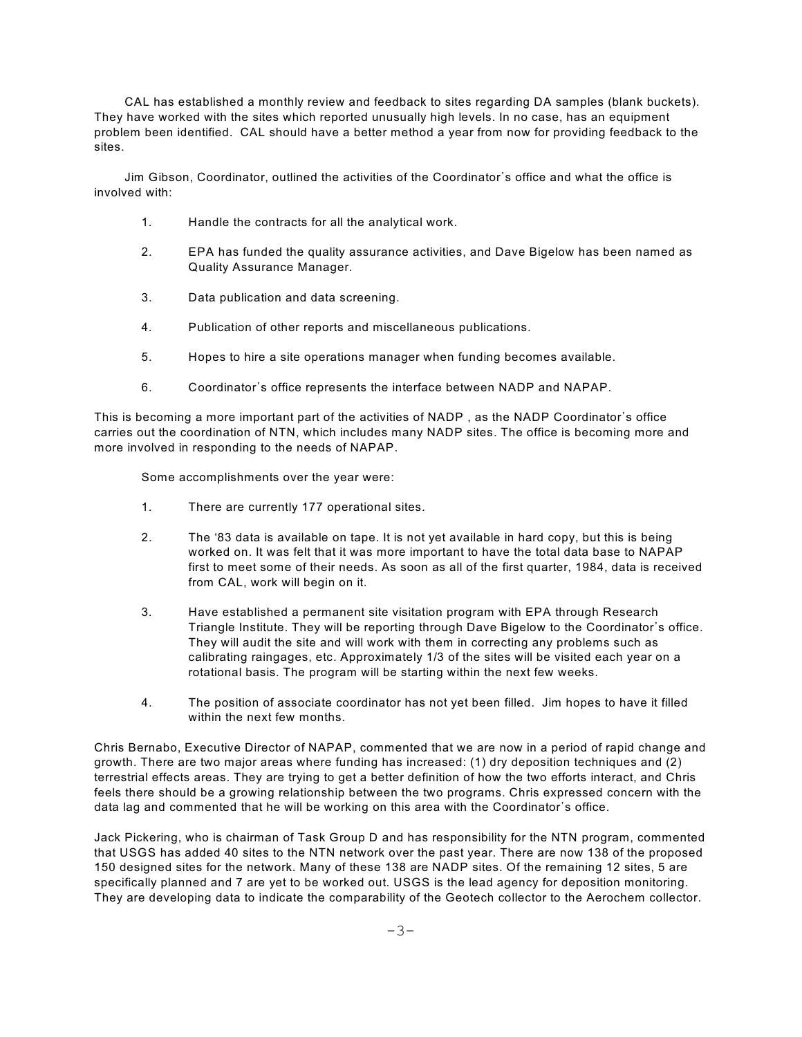CAL has established a monthly review and feedback to sites regarding DA samples (blank buckets). They have worked with the sites which reported unusually high levels. In no case, has an equipment problem been identified. CAL should have a better method a year from now for providing feedback to the sites.

Jim Gibson, Coordinator, outlined the activities of the Coordinator's office and what the office is involved with:

- 1. Handle the contracts for all the analytical work.
- 2. EPA has funded the quality assurance activities, and Dave Bigelow has been named as Quality Assurance Manager.
- 3. Data publication and data screening.
- 4. Publication of other reports and miscellaneous publications.
- 5. Hopes to hire a site operations manager when funding becomes available.
- 6. Coordinator's office represents the interface between NADP and NAPAP.

This is becoming a more important part of the activities of NADP, as the NADP Coordinator's office carries out the coordination of NTN, which includes many NADP sites. The office is becoming more and more involved in responding to the needs of NAPAP.

Some accomplishments over the year were:

- 1. There are currently 177 operational sites.
- 2. The '83 data is available on tape. It is not yet available in hard copy, but this is being worked on. It was felt that it was more important to have the total data base to NAPAP first to meet some of their needs. As soon as all of the first quarter, 1984, data is received from CAL, work will begin on it.
- 3. Have established a permanent site visitation program with EPA through Research Triangle Institute. They will be reporting through Dave Bigelow to the Coordinator's office. They will audit the site and will work with them in correcting any problems such as calibrating raingages, etc. Approximately 1/3 of the sites will be visited each year on a rotational basis. The program will be starting within the next few weeks.
- 4. The position of associate coordinator has not yet been filled. Jim hopes to have it filled within the next few months.

Chris Bernabo, Executive Director of NAPAP, commented that we are now in a period of rapid change and growth. There are two major areas where funding has increased: (1) dry deposition techniques and (2) terrestrial effects areas. They are trying to get a better definition of how the two efforts interact, and Chris feels there should be a growing relationship between the two programs. Chris expressed concern with the data lag and commented that he will be working on this area with the Coordinator's office.

Jack Pickering, who is chairman of Task Group D and has responsibility for the NTN program, commented that USGS has added 40 sites to the NTN network over the past year. There are now 138 of the proposed 150 designed sites for the network. Many of these 138 are NADP sites. Of the remaining 12 sites, 5 are specifically planned and 7 are yet to be worked out. USGS is the lead agency for deposition monitoring. They are developing data to indicate the comparability of the Geotech collector to the Aerochem collector.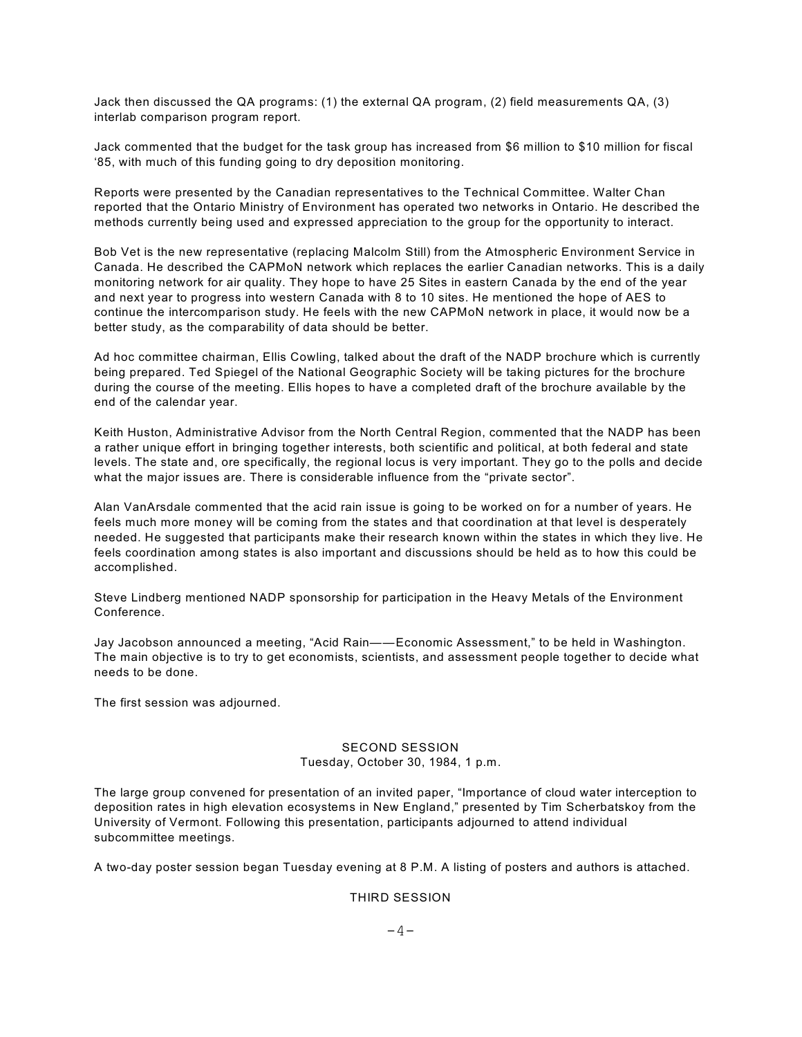Jack then discussed the QA programs: (1) the external QA program, (2) field measurements QA, (3) interlab comparison program report.

Jack commented that the budget for the task group has increased from \$6 million to \$10 million for fiscal '85, with much of this funding going to dry deposition monitoring.

Reports were presented by the Canadian representatives to the Technical Committee. Walter Chan reported that the Ontario Ministry of Environment has operated two networks in Ontario. He described the methods currently being used and expressed appreciation to the group for the opportunity to interact.

Bob Vet is the new representative (replacing Malcolm Still) from the Atmospheric Environment Service in Canada. He described the CAPMoN network which replaces the earlier Canadian networks. This is a daily monitoring network for air quality. They hope to have 25 Sites in eastern Canada by the end of the year and next year to progress into western Canada with 8 to 10 sites. He mentioned the hope of AES to continue the intercomparison study. He feels with the new CAPMoN network in place, it would now be a better study, as the comparability of data should be better.

Ad hoc committee chairman, Ellis Cowling, talked about the draft of the NADP brochure which is currently being prepared. Ted Spiegel of the National Geographic Society will be taking pictures for the brochure during the course of the meeting. Ellis hopes to have a completed draft of the brochure available by the end of the calendar year.

Keith Huston, Administrative Advisor from the North Central Region, commented that the NADP has been a rather unique effort in bringing together interests, both scientific and political, at both federal and state levels. The state and, ore specifically, the regional locus is very important. They go to the polls and decide what the major issues are. There is considerable influence from the "private sector".

Alan VanArsdale commented that the acid rain issue is going to be worked on for a number of years. He feels much more money will be coming from the states and that coordination at that level is desperately needed. He suggested that participants make their research known within the states in which they live. He feels coordination among states is also important and discussions should be held as to how this could be accomplished.

Steve Lindberg mentioned NADP sponsorship for participation in the Heavy Metals of the Environment Conference.

Jay Jacobson announced a meeting, "Acid Rain——Economic Assessment," to be held in Washington. The main objective is to try to get economists, scientists, and assessment people together to decide what needs to be done.

The first session was adjourned.

## SECOND SESSION

# Tuesday, October 30, 1984, 1 p.m.

The large group convened for presentation of an invited paper, "Importance of cloud water interception to deposition rates in high elevation ecosystems in New England," presented by Tim Scherbatskoy from the University of Vermont. Following this presentation, participants adjourned to attend individual subcommittee meetings.

A two-day poster session began Tuesday evening at 8 P.M. A listing of posters and authors is attached.

# THIRD SESSION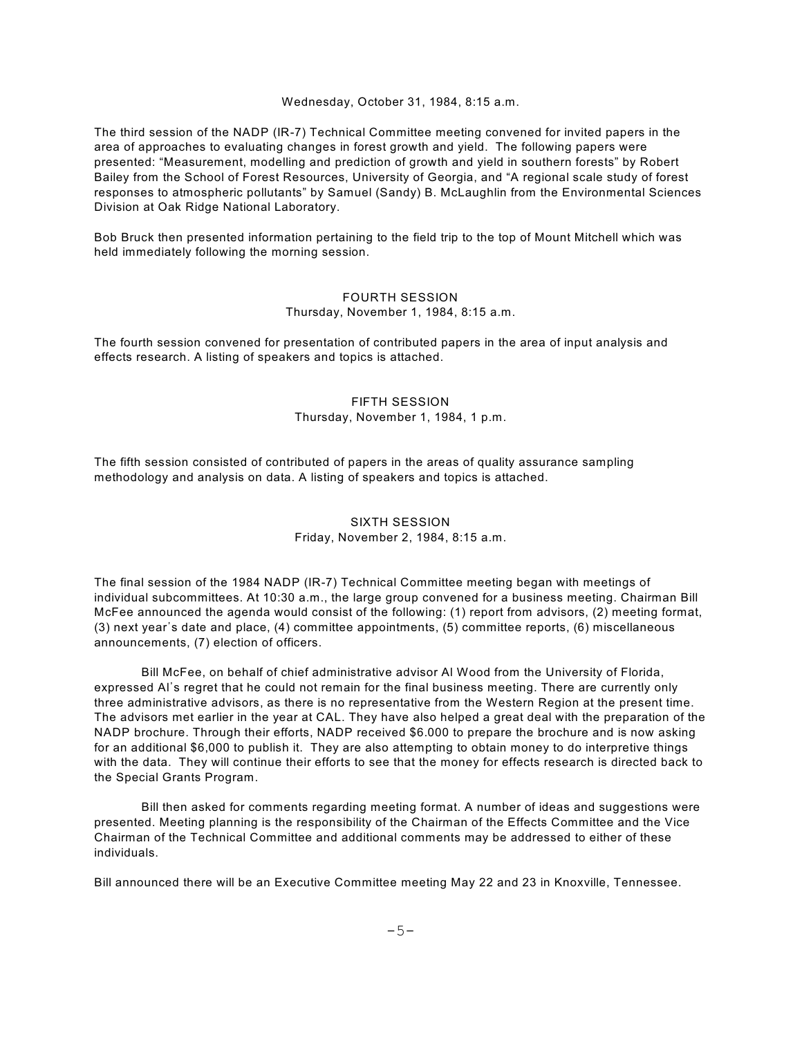## Wednesday, October 31, 1984, 8:15 a.m.

The third session of the NADP (IR-7) Technical Committee meeting convened for invited papers in the area of approaches to evaluating changes in forest growth and yield. The following papers were presented: "Measurement, modelling and prediction of growth and yield in southern forests" by Robert Bailey from the School of Forest Resources, University of Georgia, and "A regional scale study of forest responses to atmospheric pollutants" by Samuel (Sandy) B. McLaughlin from the Environmental Sciences Division at Oak Ridge National Laboratory.

Bob Bruck then presented information pertaining to the field trip to the top of Mount Mitchell which was held immediately following the morning session.

#### FOURTH SESSION Thursday, November 1, 1984, 8:15 a.m.

The fourth session convened for presentation of contributed papers in the area of input analysis and effects research. A listing of speakers and topics is attached.

## FIFTH SESSION Thursday, November 1, 1984, 1 p.m.

The fifth session consisted of contributed of papers in the areas of quality assurance sampling methodology and analysis on data. A listing of speakers and topics is attached.

## SIXTH SESSION Friday, November 2, 1984, 8:15 a.m.

The final session of the 1984 NADP (IR-7) Technical Committee meeting began with meetings of individual subcommittees. At 10:30 a.m., the large group convened for a business meeting. Chairman Bill McFee announced the agenda would consist of the following: (1) report from advisors, (2) meeting format, (3) next year\*s date and place, (4) committee appointments, (5) committee reports, (6) miscellaneous announcements, (7) election of officers.

Bill McFee, on behalf of chief administrative advisor Al Wood from the University of Florida, expressed Al's regret that he could not remain for the final business meeting. There are currently only three administrative advisors, as there is no representative from the Western Region at the present time. The advisors met earlier in the year at CAL. They have also helped a great deal with the preparation of the NADP brochure. Through their efforts, NADP received \$6.000 to prepare the brochure and is now asking for an additional \$6,000 to publish it. They are also attempting to obtain money to do interpretive things with the data. They will continue their efforts to see that the money for effects research is directed back to the Special Grants Program.

Bill then asked for comments regarding meeting format. A number of ideas and suggestions were presented. Meeting planning is the responsibility of the Chairman of the Effects Committee and the Vice Chairman of the Technical Committee and additional comments may be addressed to either of these individuals.

Bill announced there will be an Executive Committee meeting May 22 and 23 in Knoxville, Tennessee.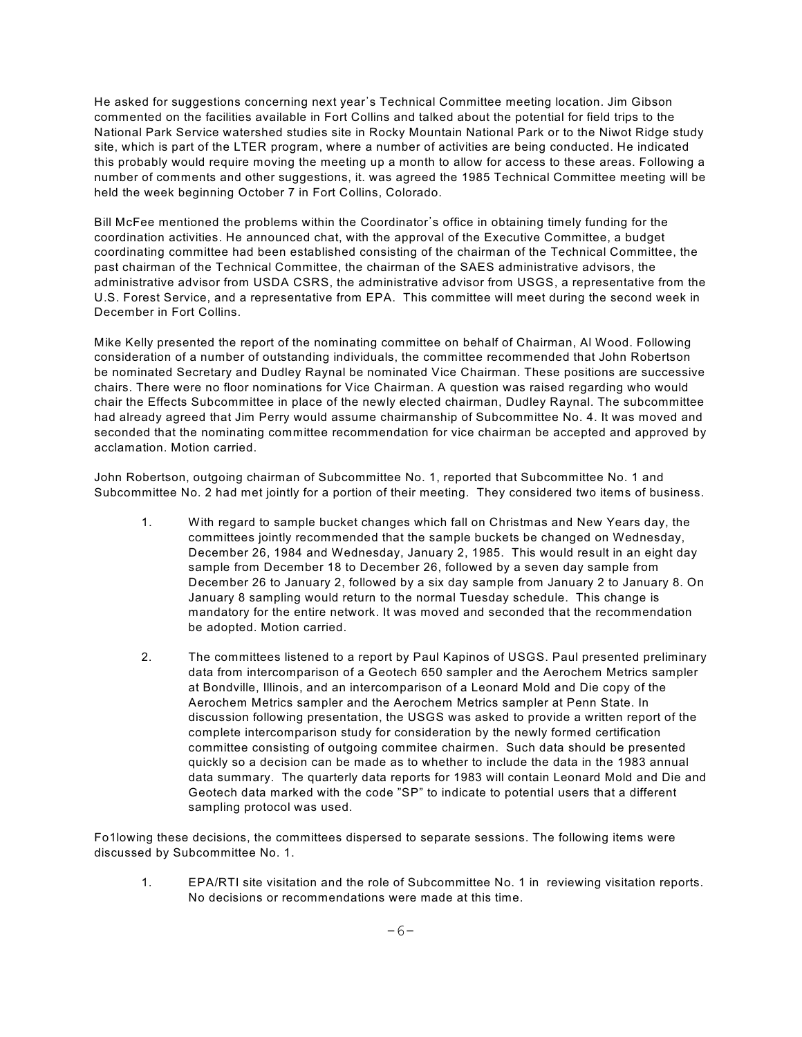He asked for suggestions concerning next year's Technical Committee meeting location. Jim Gibson commented on the facilities available in Fort Collins and talked about the potential for field trips to the National Park Service watershed studies site in Rocky Mountain National Park or to the Niwot Ridge study site, which is part of the LTER program, where a number of activities are being conducted. He indicated this probably would require moving the meeting up a month to allow for access to these areas. Following a number of comments and other suggestions, it. was agreed the 1985 Technical Committee meeting will be held the week beginning October 7 in Fort Collins, Colorado.

Bill McFee mentioned the problems within the Coordinator's office in obtaining timely funding for the coordination activities. He announced chat, with the approval of the Executive Committee, a budget coordinating committee had been established consisting of the chairman of the Technical Committee, the past chairman of the Technical Committee, the chairman of the SAES administrative advisors, the administrative advisor from USDA CSRS, the administrative advisor from USGS, a representative from the U.S. Forest Service, and a representative from EPA. This committee will meet during the second week in December in Fort Collins.

Mike Kelly presented the report of the nominating committee on behalf of Chairman, Al Wood. Following consideration of a number of outstanding individuals, the committee recommended that John Robertson be nominated Secretary and Dudley Raynal be nominated Vice Chairman. These positions are successive chairs. There were no floor nominations for Vice Chairman. A question was raised regarding who would chair the Effects Subcommittee in place of the newly elected chairman, Dudley Raynal. The subcommittee had already agreed that Jim Perry would assume chairmanship of Subcommittee No. 4. It was moved and seconded that the nominating committee recommendation for vice chairman be accepted and approved by acclamation. Motion carried.

John Robertson, outgoing chairman of Subcommittee No. 1, reported that Subcommittee No. 1 and Subcommittee No. 2 had met jointly for a portion of their meeting. They considered two items of business.

- 1. With regard to sample bucket changes which fall on Christmas and New Years day, the committees jointly recommended that the sample buckets be changed on Wednesday, December 26, 1984 and Wednesday, January 2, 1985. This would result in an eight day sample from December 18 to December 26, followed by a seven day sample from December 26 to January 2, followed by a six day sample from January 2 to January 8. On January 8 sampling would return to the normal Tuesday schedule. This change is mandatory for the entire network. It was moved and seconded that the recommendation be adopted. Motion carried.
- 2. The committees listened to a report by Paul Kapinos of USGS. Paul presented preliminary data from intercomparison of a Geotech 650 sampler and the Aerochem Metrics sampler at Bondville, Illinois, and an intercomparison of a Leonard Mold and Die copy of the Aerochem Metrics sampler and the Aerochem Metrics sampler at Penn State. In discussion following presentation, the USGS was asked to provide a written report of the complete intercomparison study for consideration by the newly formed certification committee consisting of outgoing commitee chairmen. Such data should be presented quickly so a decision can be made as to whether to include the data in the 1983 annual data summary. The quarterly data reports for 1983 will contain Leonard Mold and Die and Geotech data marked with the code "SP" to indicate to potential users that a different sampling protocol was used.

Fo1lowing these decisions, the committees dispersed to separate sessions. The following items were discussed by Subcommittee No. 1.

1. EPA/RTI site visitation and the role of Subcommittee No. 1 in reviewing visitation reports. No decisions or recommendations were made at this time.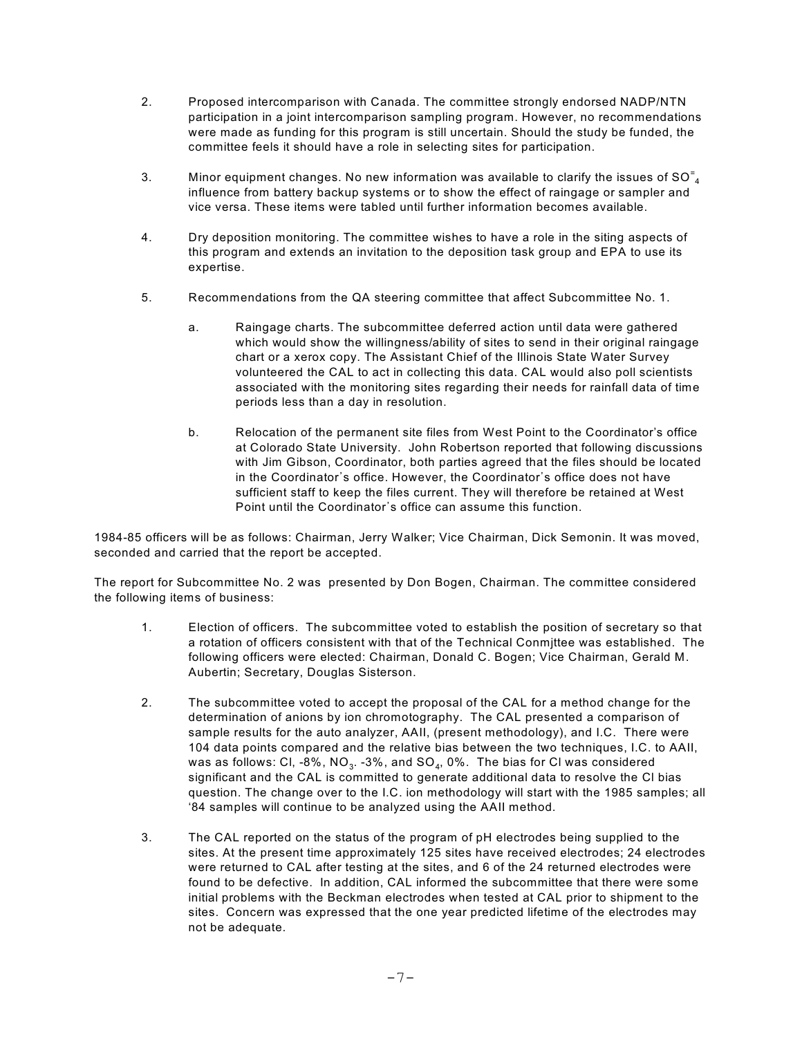- 2. Proposed intercomparison with Canada. The committee strongly endorsed NADP/NTN participation in a joint intercomparison sampling program. However, no recommendations were made as funding for this program is still uncertain. Should the study be funded, the committee feels it should have a role in selecting sites for participation.
- 3. Minor equipment changes. No new information was available to clarify the issues of SO $^{\texttt{=}}_{\texttt{4}}$ influence from battery backup systems or to show the effect of raingage or sampler and vice versa. These items were tabled until further information becomes available.
- 4. Dry deposition monitoring. The committee wishes to have a role in the siting aspects of this program and extends an invitation to the deposition task group and EPA to use its expertise.
- 5. Recommendations from the QA steering committee that affect Subcommittee No. 1.
	- a. Raingage charts. The subcommittee deferred action until data were gathered which would show the willingness/ability of sites to send in their original raingage chart or a xerox copy. The Assistant Chief of the Illinois State Water Survey volunteered the CAL to act in collecting this data. CAL would also poll scientists associated with the monitoring sites regarding their needs for rainfall data of time periods less than a day in resolution.
	- b. Relocation of the permanent site files from West Point to the Coordinator's office at Colorado State University. John Robertson reported that following discussions with Jim Gibson, Coordinator, both parties agreed that the files should be located in the Coordinator's office. However, the Coordinator's office does not have sufficient staff to keep the files current. They will therefore be retained at West Point until the Coordinator's office can assume this function.

1984-85 officers will be as follows: Chairman, Jerry Walker; Vice Chairman, Dick Semonin. It was moved, seconded and carried that the report be accepted.

The report for Subcommittee No. 2 was presented by Don Bogen, Chairman. The committee considered the following items of business:

- 1. Election of officers. The subcommittee voted to establish the position of secretary so that a rotation of officers consistent with that of the Technical Conmjttee was established. The following officers were elected: Chairman, Donald C. Bogen; Vice Chairman, Gerald M. Aubertin; Secretary, Douglas Sisterson.
- 2. The subcommittee voted to accept the proposal of the CAL for a method change for the determination of anions by ion chromotography. The CAL presented a comparison of sample results for the auto analyzer, AAII, (present methodology), and I.C. There were 104 data points compared and the relative bias between the two techniques, I.C. to AAII, was as follows: Cl, -8%,  $NO_3$ . -3%, and  $SO_4$ , 0%. The bias for Cl was considered significant and the CAL is committed to generate additional data to resolve the Cl bias question. The change over to the I.C. ion methodology will start with the 1985 samples; all '84 samples will continue to be analyzed using the AAII method.
- 3. The CAL reported on the status of the program of pH electrodes being supplied to the sites. At the present time approximately 125 sites have received electrodes; 24 electrodes were returned to CAL after testing at the sites, and 6 of the 24 returned electrodes were found to be defective. In addition, CAL informed the subcommittee that there were some initial problems with the Beckman electrodes when tested at CAL prior to shipment to the sites. Concern was expressed that the one year predicted lifetime of the electrodes may not be adequate.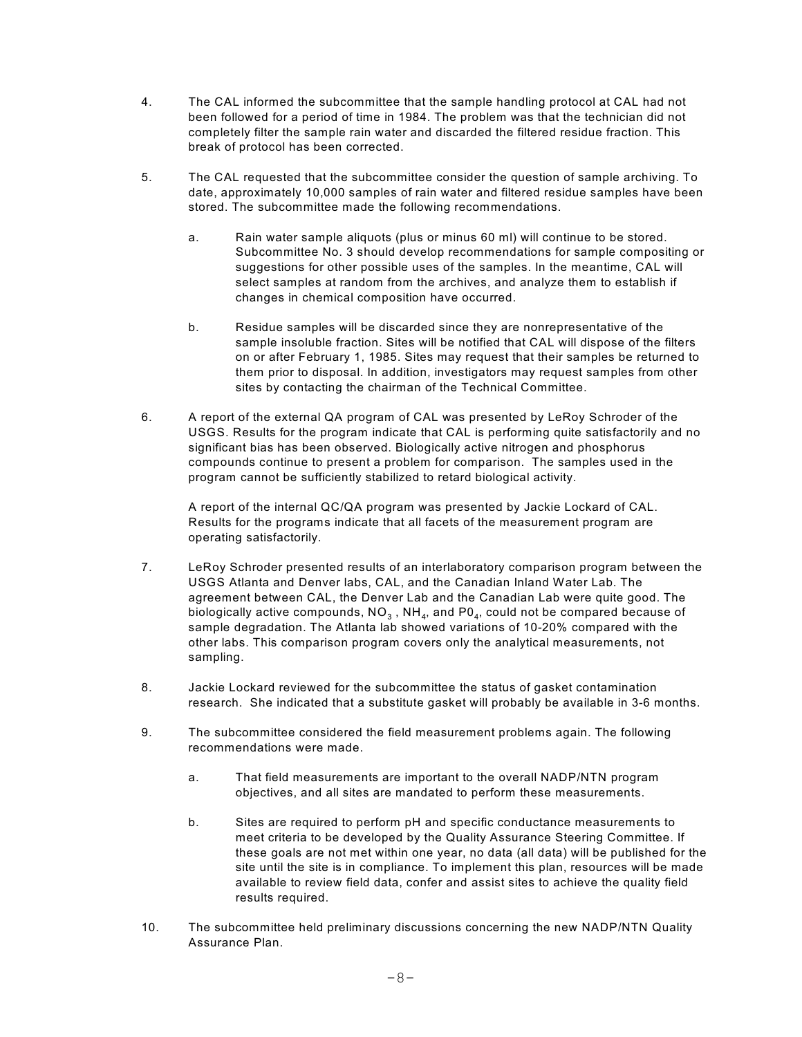- 4. The CAL informed the subcommittee that the sample handling protocol at CAL had not been followed for a period of time in 1984. The problem was that the technician did not completely filter the sample rain water and discarded the filtered residue fraction. This break of protocol has been corrected.
- 5. The CAL requested that the subcommittee consider the question of sample archiving. To date, approximately 10,000 samples of rain water and filtered residue samples have been stored. The subcommittee made the following recommendations.
	- a. Rain water sample aliquots (plus or minus 60 ml) will continue to be stored. Subcommittee No. 3 should develop recommendations for sample compositing or suggestions for other possible uses of the samples. In the meantime, CAL will select samples at random from the archives, and analyze them to establish if changes in chemical composition have occurred.
	- b. Residue samples will be discarded since they are nonrepresentative of the sample insoluble fraction. Sites will be notified that CAL will dispose of the filters on or after February 1, 1985. Sites may request that their samples be returned to them prior to disposal. In addition, investigators may request samples from other sites by contacting the chairman of the Technical Committee.
- 6. A report of the external QA program of CAL was presented by LeRoy Schroder of the USGS. Results for the program indicate that CAL is performing quite satisfactorily and no significant bias has been observed. Biologically active nitrogen and phosphorus compounds continue to present a problem for comparison. The samples used in the program cannot be sufficiently stabilized to retard biological activity.

A report of the internal QC/QA program was presented by Jackie Lockard of CAL. Results for the programs indicate that all facets of the measurement program are operating satisfactorily.

- 7. LeRoy Schroder presented results of an interlaboratory comparison program between the USGS Atlanta and Denver labs, CAL, and the Canadian Inland Water Lab. The agreement between CAL, the Denver Lab and the Canadian Lab were quite good. The biologically active compounds, NO $_3$  , NH $_4$ , and P0 $_4$ , could not be compared because of sample degradation. The Atlanta lab showed variations of 10-20% compared with the other labs. This comparison program covers only the analytical measurements, not sampling.
- 8. Jackie Lockard reviewed for the subcommittee the status of gasket contamination research. She indicated that a substitute gasket will probably be available in 3-6 months.
- 9. The subcommittee considered the field measurement problems again. The following recommendations were made.
	- a. That field measurements are important to the overall NADP/NTN program objectives, and all sites are mandated to perform these measurements.
	- b. Sites are required to perform pH and specific conductance measurements to meet criteria to be developed by the Quality Assurance Steering Committee. If these goals are not met within one year, no data (all data) will be published for the site until the site is in compliance. To implement this plan, resources will be made available to review field data, confer and assist sites to achieve the quality field results required.
- 10. The subcommittee held preliminary discussions concerning the new NADP/NTN Quality Assurance Plan.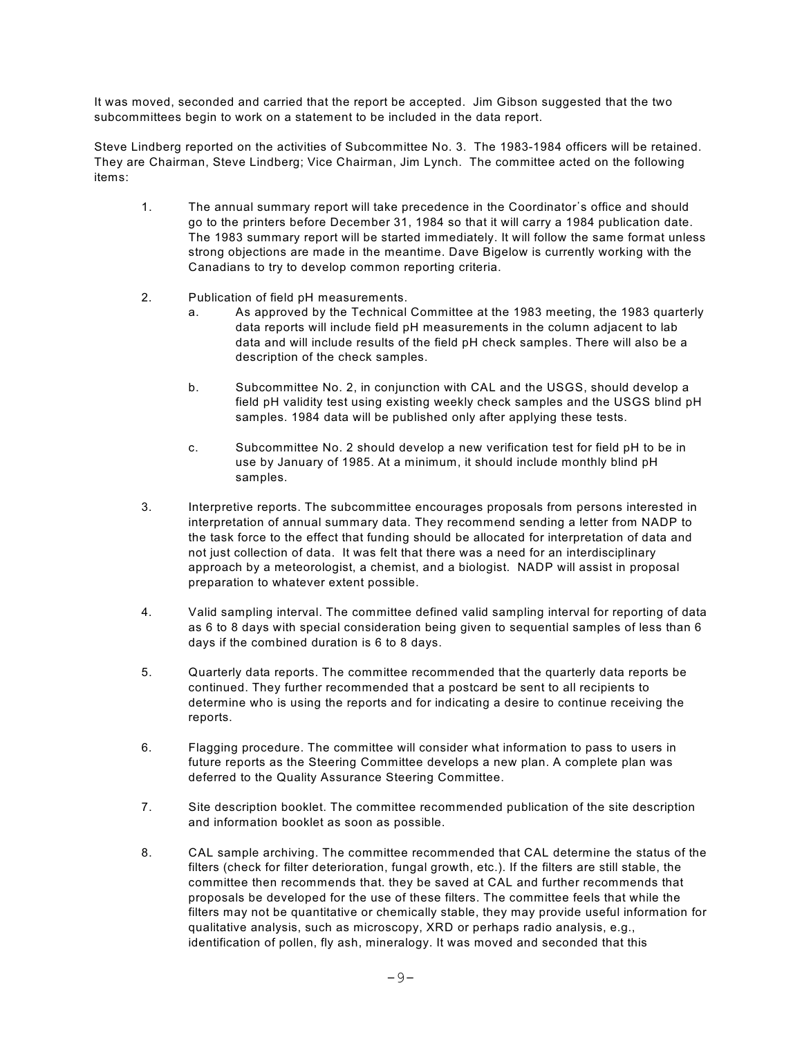It was moved, seconded and carried that the report be accepted. Jim Gibson suggested that the two subcommittees begin to work on a statement to be included in the data report.

Steve Lindberg reported on the activities of Subcommittee No. 3. The 1983-1984 officers will be retained. They are Chairman, Steve Lindberg; Vice Chairman, Jim Lynch. The committee acted on the following items:

- 1. The annual summary report will take precedence in the Coordinator's office and should go to the printers before December 31, 1984 so that it will carry a 1984 publication date. The 1983 summary report will be started immediately. It will follow the same format unless strong objections are made in the meantime. Dave Bigelow is currently working with the Canadians to try to develop common reporting criteria.
- 2. Publication of field pH measurements.
	- a. As approved by the Technical Committee at the 1983 meeting, the 1983 quarterly data reports will include field pH measurements in the column adjacent to lab data and will include results of the field pH check samples. There will also be a description of the check samples.
	- b. Subcommittee No. 2, in conjunction with CAL and the USGS, should develop a field pH validity test using existing weekly check samples and the USGS blind pH samples. 1984 data will be published only after applying these tests.
	- c. Subcommittee No. 2 should develop a new verification test for field pH to be in use by January of 1985. At a minimum, it should include monthly blind pH samples.
- 3. Interpretive reports. The subcommittee encourages proposals from persons interested in interpretation of annual summary data. They recommend sending a letter from NADP to the task force to the effect that funding should be allocated for interpretation of data and not just collection of data. It was felt that there was a need for an interdisciplinary approach by a meteorologist, a chemist, and a biologist. NADP will assist in proposal preparation to whatever extent possible.
- 4. Valid sampling interval. The committee defined valid sampling interval for reporting of data as 6 to 8 days with special consideration being given to sequential samples of less than 6 days if the combined duration is 6 to 8 days.
- 5. Quarterly data reports. The committee recommended that the quarterly data reports be continued. They further recommended that a postcard be sent to all recipients to determine who is using the reports and for indicating a desire to continue receiving the reports.
- 6. Flagging procedure. The committee will consider what information to pass to users in future reports as the Steering Committee develops a new plan. A complete plan was deferred to the Quality Assurance Steering Committee.
- 7. Site description booklet. The committee recommended publication of the site description and information booklet as soon as possible.
- 8. CAL sample archiving. The committee recommended that CAL determine the status of the filters (check for filter deterioration, fungal growth, etc.). If the filters are still stable, the committee then recommends that. they be saved at CAL and further recommends that proposals be developed for the use of these filters. The committee feels that while the filters may not be quantitative or chemically stable, they may provide useful information for qualitative analysis, such as microscopy, XRD or perhaps radio analysis, e.g., identification of pollen, fly ash, mineralogy. It was moved and seconded that this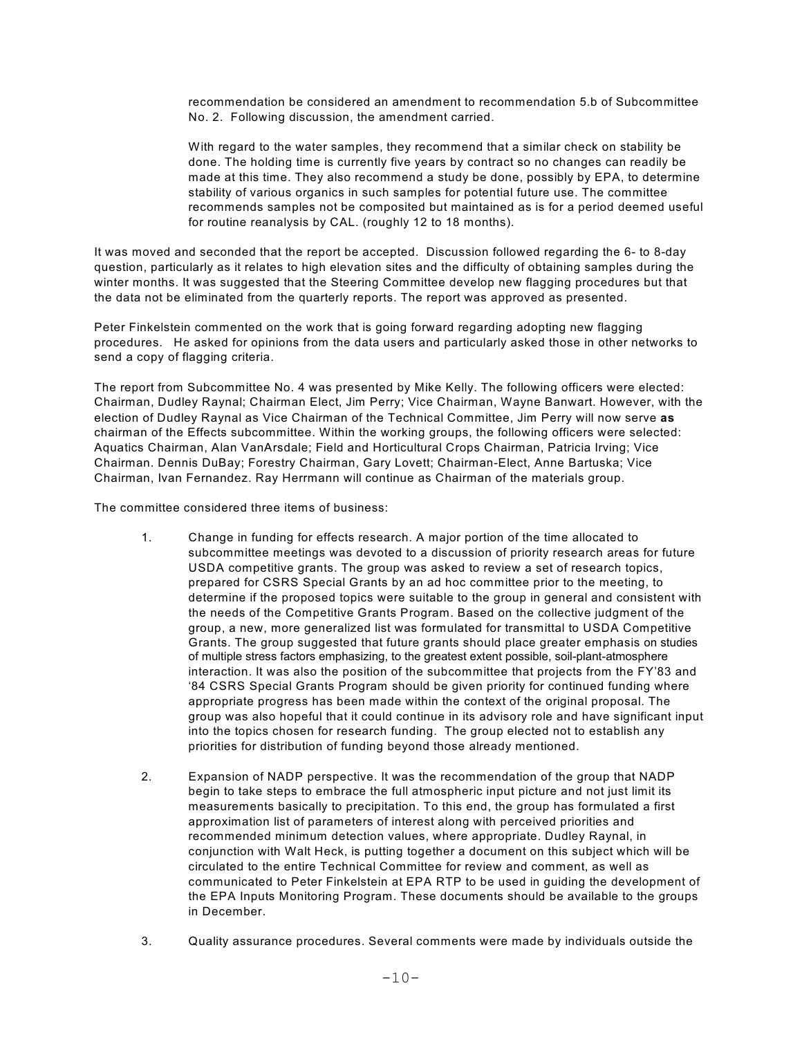recommendation be considered an amendment to recommendation 5.b of Subcommittee No. 2. Following discussion, the amendment carried.

With regard to the water samples, they recommend that a similar check on stability be done. The holding time is currently five years by contract so no changes can readily be made at this time. They also recommend a study be done, possibly by EPA, to determine stability of various organics in such samples for potential future use. The committee recommends samples not be composited but maintained as is for a period deemed useful for routine reanalysis by CAL. (roughly 12 to 18 months).

It was moved and seconded that the report be accepted. Discussion followed regarding the 6- to 8-day question, particularly as it relates to high elevation sites and the difficulty of obtaining samples during the winter months. It was suggested that the Steering Committee develop new flagging procedures but that the data not be eliminated from the quarterly reports. The report was approved as presented.

Peter Finkelstein commented on the work that is going forward regarding adopting new flagging procedures. He asked for opinions from the data users and particularly asked those in other networks to send a copy of flagging criteria.

The report from Subcommittee No. 4 was presented by Mike Kelly. The following officers were elected: Chairman, Dudley Raynal; Chairman Elect, Jim Perry; Vice Chairman, Wayne Banwart. However, with the election of Dudley Raynal as Vice Chairman of the Technical Committee, Jim Perry will now serve **as** chairman of the Effects subcommittee. Within the working groups, the following officers were selected: Aquatics Chairman, Alan VanArsdale; Field and Horticultural Crops Chairman, Patricia Irving; Vice Chairman. Dennis DuBay; Forestry Chairman, Gary Lovett; Chairman-Elect, Anne Bartuska; Vice Chairman, Ivan Fernandez. Ray Herrmann will continue as Chairman of the materials group.

The committee considered three items of business:

- 1. Change in funding for effects research. A major portion of the time allocated to subcommittee meetings was devoted to a discussion of priority research areas for future USDA competitive grants. The group was asked to review a set of research topics, prepared for CSRS Special Grants by an ad hoc committee prior to the meeting, to determine if the proposed topics were suitable to the group in general and consistent with the needs of the Competitive Grants Program. Based on the collective judgment of the group, a new, more generalized list was formulated for transmittal to USDA Competitive Grants. The group suggested that future grants should place greater emphasis on studies of multiple stress factors emphasizing, to the greatest extent possible, soil-plant-atmosphere interaction. It was also the position of the subcommittee that projects from the FY'83 and '84 CSRS Special Grants Program should be given priority for continued funding where appropriate progress has been made within the context of the original proposal. The group was also hopeful that it could continue in its advisory role and have significant input into the topics chosen for research funding. The group elected not to establish any priorities for distribution of funding beyond those already mentioned.
- 2. Expansion of NADP perspective. It was the recommendation of the group that NADP begin to take steps to embrace the full atmospheric input picture and not just limit its measurements basically to precipitation. To this end, the group has formulated a first approximation list of parameters of interest along with perceived priorities and recommended minimum detection values, where appropriate. Dudley Raynal, in conjunction with Walt Heck, is putting together a document on this subject which will be circulated to the entire Technical Committee for review and comment, as well as communicated to Peter Finkelstein at EPA RTP to be used in guiding the development of the EPA Inputs Monitoring Program. These documents should be available to the groups in December.
- 3. Quality assurance procedures. Several comments were made by individuals outside the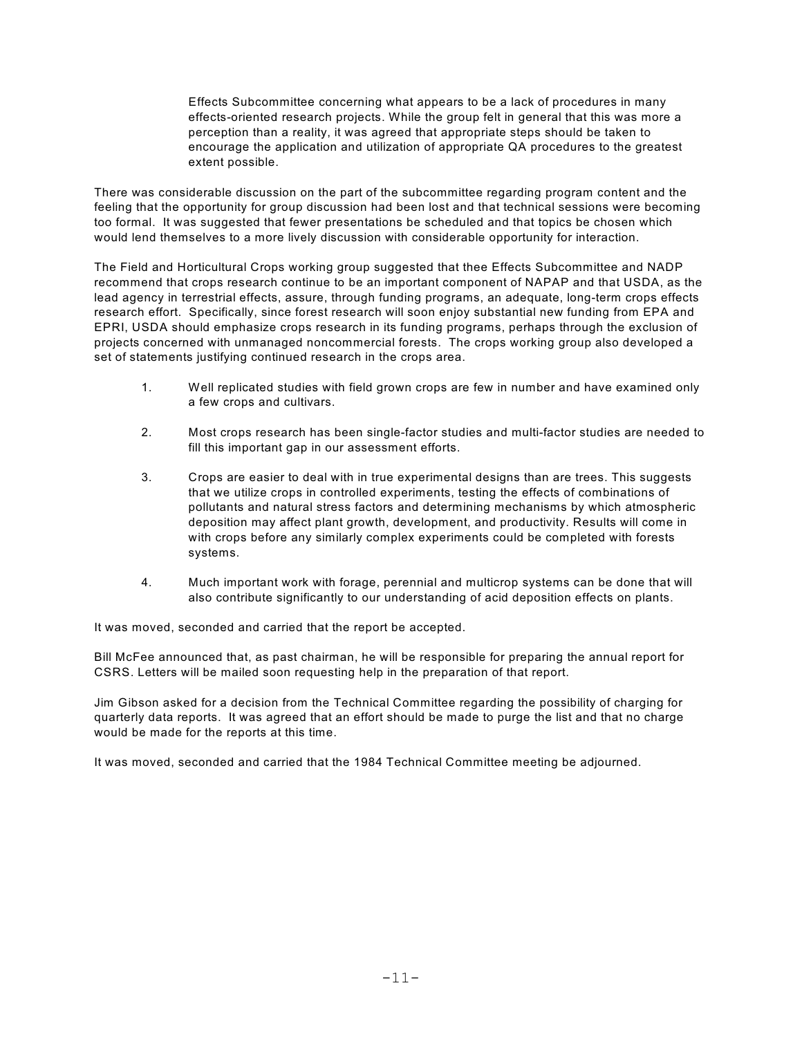Effects Subcommittee concerning what appears to be a lack of procedures in many effects-oriented research projects. While the group felt in general that this was more a perception than a reality, it was agreed that appropriate steps should be taken to encourage the application and utilization of appropriate QA procedures to the greatest extent possible.

There was considerable discussion on the part of the subcommittee regarding program content and the feeling that the opportunity for group discussion had been lost and that technical sessions were becoming too formal. It was suggested that fewer presentations be scheduled and that topics be chosen which would lend themselves to a more lively discussion with considerable opportunity for interaction.

The Field and Horticultural Crops working group suggested that thee Effects Subcommittee and NADP recommend that crops research continue to be an important component of NAPAP and that USDA, as the lead agency in terrestrial effects, assure, through funding programs, an adequate, long-term crops effects research effort. Specifically, since forest research will soon enjoy substantial new funding from EPA and EPRI, USDA should emphasize crops research in its funding programs, perhaps through the exclusion of projects concerned with unmanaged noncommercial forests. The crops working group also developed a set of statements justifying continued research in the crops area.

- 1. Well replicated studies with field grown crops are few in number and have examined only a few crops and cultivars.
- 2. Most crops research has been single-factor studies and multi-factor studies are needed to fill this important gap in our assessment efforts.
- 3. Crops are easier to deal with in true experimental designs than are trees. This suggests that we utilize crops in controlled experiments, testing the effects of combinations of pollutants and natural stress factors and determining mechanisms by which atmospheric deposition may affect plant growth, development, and productivity. Results will come in with crops before any similarly complex experiments could be completed with forests systems.
- 4. Much important work with forage, perennial and multicrop systems can be done that will also contribute significantly to our understanding of acid deposition effects on plants.

It was moved, seconded and carried that the report be accepted.

Bill McFee announced that, as past chairman, he will be responsible for preparing the annual report for CSRS. Letters will be mailed soon requesting help in the preparation of that report.

Jim Gibson asked for a decision from the Technical Committee regarding the possibility of charging for quarterly data reports. It was agreed that an effort should be made to purge the list and that no charge would be made for the reports at this time.

It was moved, seconded and carried that the 1984 Technical Committee meeting be adjourned.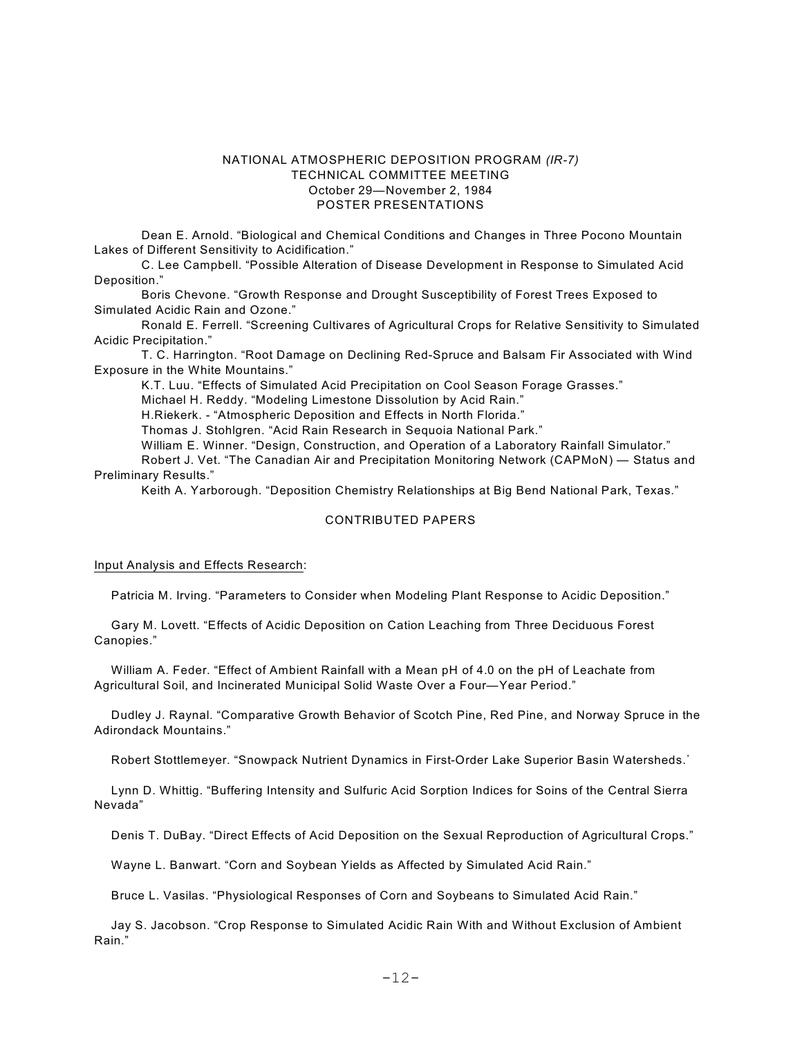# NATIONAL ATMOSPHERIC DEPOSITION PROGRAM *(IR-7)* TECHNICAL COMMITTEE MEETING October 29—November 2, 1984 POSTER PRESENTATIONS

Dean E. Arnold. "Biological and Chemical Conditions and Changes in Three Pocono Mountain Lakes of Different Sensitivity to Acidification."

C. Lee Campbell. "Possible Alteration of Disease Development in Response to Simulated Acid Deposition."

Boris Chevone. "Growth Response and Drought Susceptibility of Forest Trees Exposed to Simulated Acidic Rain and Ozone."

Ronald E. Ferrell. "Screening Cultivares of Agricultural Crops for Relative Sensitivity to Simulated Acidic Precipitation."

T. C. Harrington. "Root Damage on Declining Red-Spruce and Balsam Fir Associated with Wind Exposure in the White Mountains."

K.T. Luu. "Effects of Simulated Acid Precipitation on Cool Season Forage Grasses."

Michael H. Reddy. "Modeling Limestone Dissolution by Acid Rain."

H.Riekerk. - "Atmospheric Deposition and Effects in North Florida."

Thomas J. Stohlgren. "Acid Rain Research in Sequoia National Park."

William E. Winner. "Design, Construction, and Operation of a Laboratory Rainfall Simulator."

Robert J. Vet. "The Canadian Air and Precipitation Monitoring Network (CAPMoN) — Status and Preliminary Results."

Keith A. Yarborough. "Deposition Chemistry Relationships at Big Bend National Park, Texas."

## CONTRIBUTED PAPERS

#### Input Analysis and Effects Research:

Patricia M. Irving. "Parameters to Consider when Modeling Plant Response to Acidic Deposition."

Gary M. Lovett. "Effects of Acidic Deposition on Cation Leaching from Three Deciduous Forest Canopies."

William A. Feder. "Effect of Ambient Rainfall with a Mean pH of 4.0 on the pH of Leachate from Agricultural Soil, and Incinerated Municipal Solid Waste Over a Four—Year Period."

Dudley J. Raynal. "Comparative Growth Behavior of Scotch Pine, Red Pine, and Norway Spruce in the Adirondack Mountains."

Robert Stottlemeyer. "Snowpack Nutrient Dynamics in First-Order Lake Superior Basin Watersheds.\*

Lynn D. Whittig. "Buffering Intensity and Sulfuric Acid Sorption Indices for Soins of the Central Sierra Nevada"

Denis T. DuBay. "Direct Effects of Acid Deposition on the Sexual Reproduction of Agricultural Crops."

Wayne L. Banwart. "Corn and Soybean Yields as Affected by Simulated Acid Rain."

Bruce L. Vasilas. "Physiological Responses of Corn and Soybeans to Simulated Acid Rain."

Jay S. Jacobson. "Crop Response to Simulated Acidic Rain With and Without Exclusion of Ambient Rain."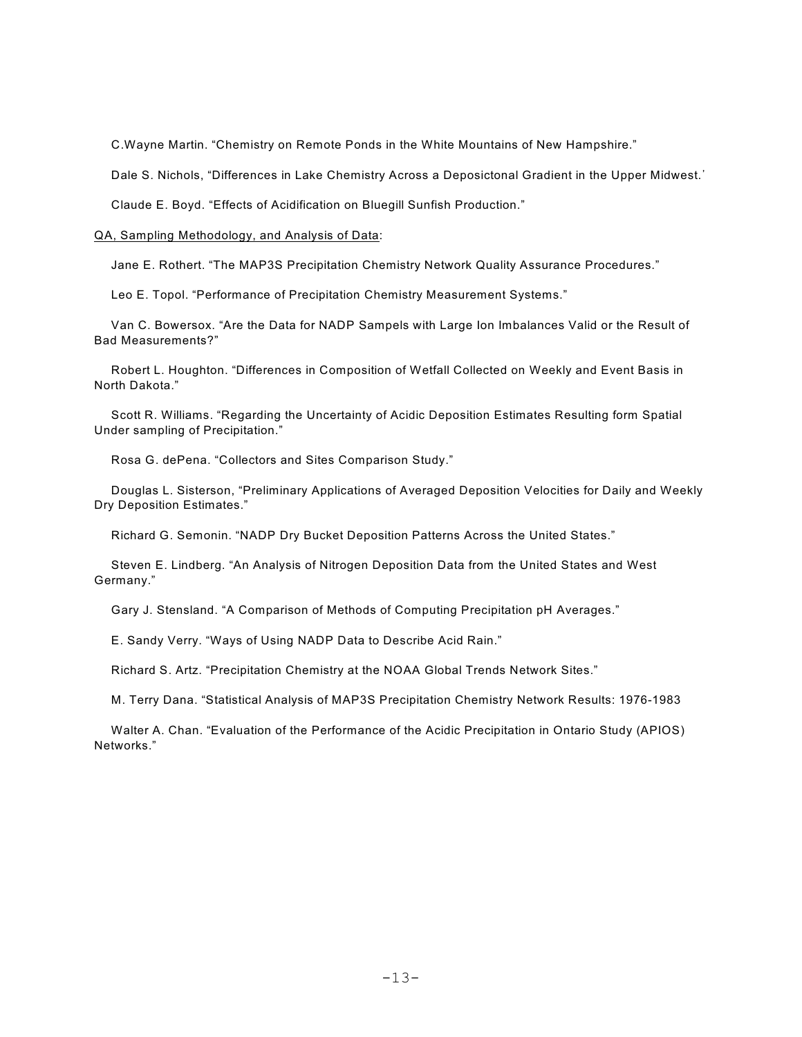C.Wayne Martin. "Chemistry on Remote Ponds in the White Mountains of New Hampshire."

Dale S. Nichols, "Differences in Lake Chemistry Across a Deposictonal Gradient in the Upper Midwest.\*

Claude E. Boyd. "Effects of Acidification on Bluegill Sunfish Production."

QA, Sampling Methodology, and Analysis of Data:

Jane E. Rothert. "The MAP3S Precipitation Chemistry Network Quality Assurance Procedures."

Leo E. Topol. "Performance of Precipitation Chemistry Measurement Systems."

Van C. Bowersox. "Are the Data for NADP Sampels with Large Ion Imbalances Valid or the Result of Bad Measurements?"

Robert L. Houghton. "Differences in Composition of Wetfall Collected on Weekly and Event Basis in North Dakota."

Scott R. Williams. "Regarding the Uncertainty of Acidic Deposition Estimates Resulting form Spatial Under sampling of Precipitation."

Rosa G. dePena. "Collectors and Sites Comparison Study."

Douglas L. Sisterson, "Preliminary Applications of Averaged Deposition Velocities for Daily and Weekly Dry Deposition Estimates."

Richard G. Semonin. "NADP Dry Bucket Deposition Patterns Across the United States."

Steven E. Lindberg. "An Analysis of Nitrogen Deposition Data from the United States and West Germany."

Gary J. Stensland. "A Comparison of Methods of Computing Precipitation pH Averages."

E. Sandy Verry. "Ways of Using NADP Data to Describe Acid Rain."

Richard S. Artz. "Precipitation Chemistry at the NOAA Global Trends Network Sites."

M. Terry Dana. "Statistical Analysis of MAP3S Precipitation Chemistry Network Results: 1976-1983

Walter A. Chan. "Evaluation of the Performance of the Acidic Precipitation in Ontario Study (APIOS) Networks."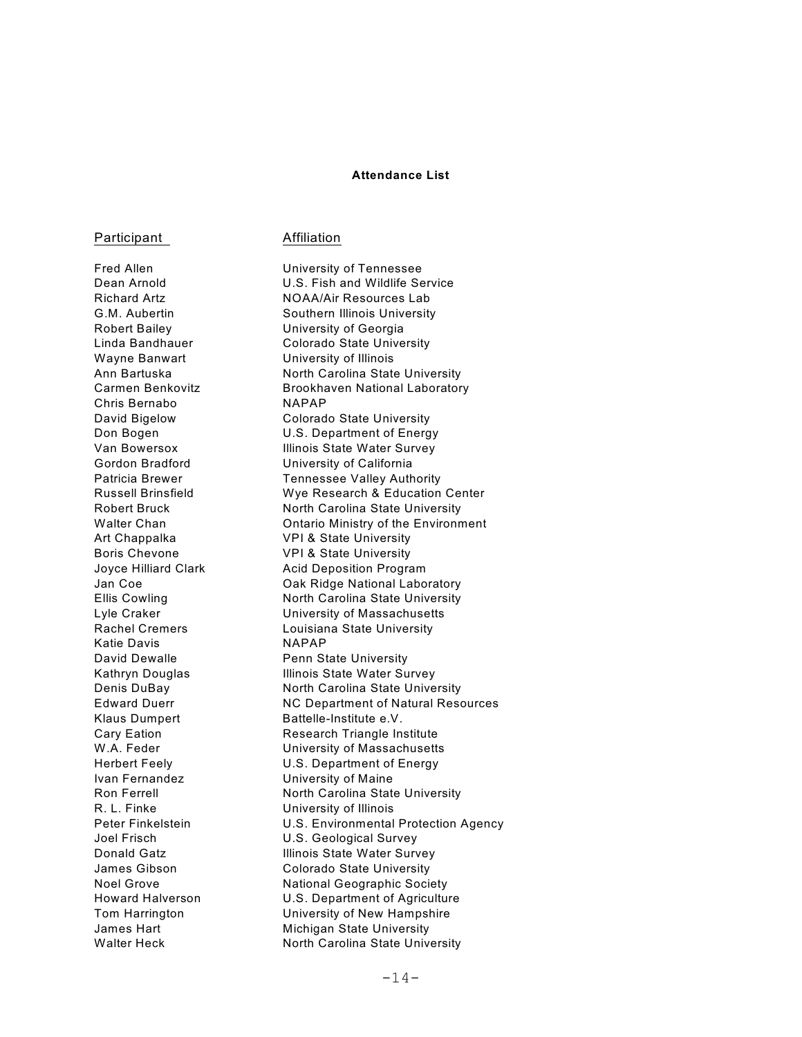#### **Attendance List**

Participant **Affiliation** 

Wayne Banwart University of Illinois Chris Bernabo NAPAP Katie Davis **NAPAP** Ivan Fernandez University of Maine R. L. Finke University of Illinois

Fred Allen **Intervalle University of Tennessee** Dean Arnold U.S. Fish and Wildlife Service Richard Artz NOAA/Air Resources Lab G.M. Aubertin Southern Illinois University Robert Bailey **University of Georgia** Linda Bandhauer Colorado State University Ann Bartuska North Carolina State University Carmen Benkovitz Brookhaven National Laboratory David Bigelow **Colorado State University** Don Bogen U.S. Department of Energy Van Bowersox Illinois State Water Survey Gordon Bradford University of California Patricia Brewer Tennessee Valley Authority Russell Brinsfield Wye Research & Education Center Robert Bruck North Carolina State University Walter Chan **Chan** Ontario Ministry of the Environment Art Chappalka VPI & State University Boris Chevone VPI & State University Joyce Hilliard Clark **Acid Deposition Program** Jan Coe **Oak Ridge National Laboratory**<br>Ellis Cowling **Communist Contract Contract Contract Contract** Carolina State University North Carolina State University Lyle Craker University of Massachusetts Rachel Cremers Louisiana State University David Dewalle **Penn State University** Kathryn Douglas **Illinois State Water Survey** Denis DuBay North Carolina State University Edward Duerr NC Department of Natural Resources Klaus Dumpert Battelle-Institute e.V. Cary Eation **Research Triangle Institute** W.A. Feder **W.A.** Feder **W.A.** Feder Herbert Feely U.S. Department of Energy Ron Ferrell **North Carolina State University** Peter Finkelstein **U.S. Environmental Protection Agency** Joel Frisch U.S. Geological Survey Donald Gatz **Illinois State Water Survey** James Gibson Colorado State University Noel Grove National Geographic Society Howard Halverson U.S. Department of Agriculture Tom Harrington University of New Hampshire James Hart **Michigan State University** Walter Heck North Carolina State University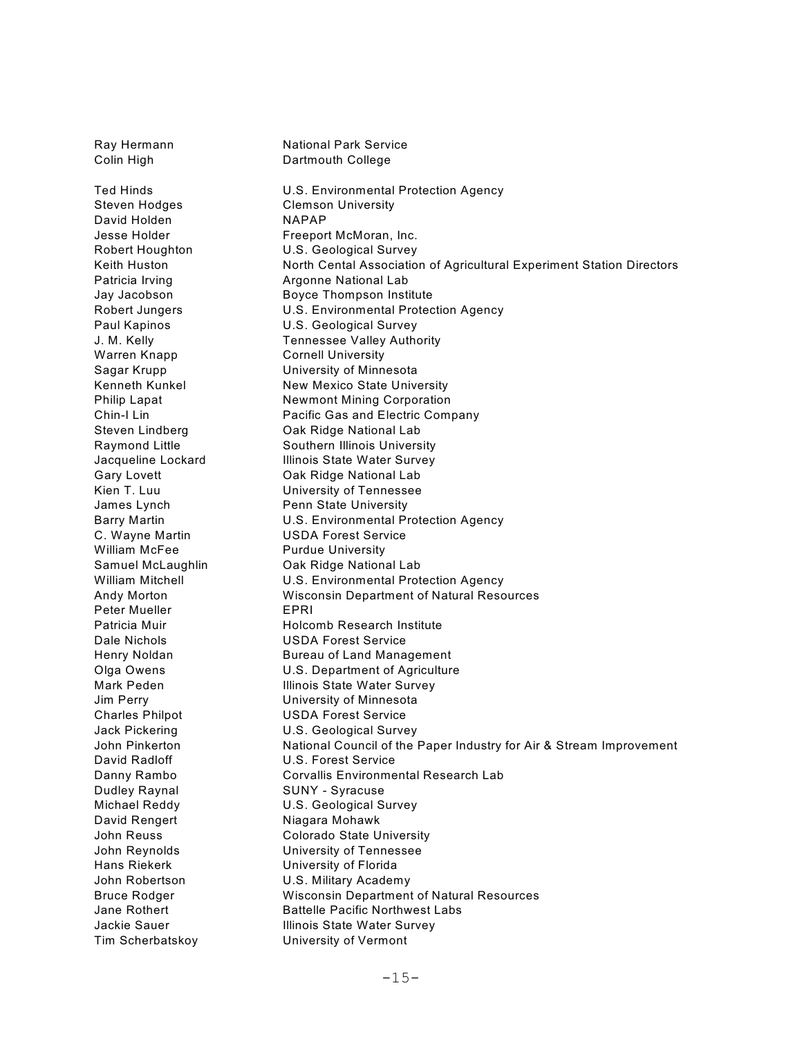Ray Hermann National Park Service Colin High Dartmouth College Ted Hinds **I.S. Environmental Protection Agency** Steven Hodges **Clemson University** David Holden NAPAP Jesse Holder Freeport McMoran, Inc. Robert Houghton **U.S. Geological Survey** Keith Huston **North Cental Association of Agricultural Experiment Station Directors** Patricia Irving **Argonne National Lab**<br>
Jay Jacobson **Argonne National Lab** Boyce Thompson Institute Robert Jungers U.S. Environmental Protection Agency Paul Kapinos **U.S. Geological Survey** J. M. Kelly Tennessee Valley Authority Warren Knapp Cornell University Sagar Krupp **Case Contract Contract University of Minnesota** Kenneth Kunkel New Mexico State University Philip Lapat Newmont Mining Corporation Chin-I Lin Pacific Gas and Electric Company Steven Lindberg **Oak Ridge National Lab** Raymond Little Southern Illinois University Jacqueline Lockard **Illinois State Water Survey** Gary Lovett **Cary Lovett** Oak Ridge National Lab Kien T. Luu Viennessee James Lynch **Penn State University** Barry Martin **Example 20 ID** U.S. Environmental Protection Agency C. Wayne Martin USDA Forest Service William McFee Purdue University Samuel McLaughlin **Oak Ridge National Lab** William Mitchell **U.S. Environmental Protection Agency** Andy Morton Wisconsin Department of Natural Resources Peter Mueller **EPRI** Patricia Muir **Muineapatricia Muineapatricia Muineapatricia** Holcomb Research Institute Dale Nichols USDA Forest Service Henry Noldan **Bureau of Land Management** Olga Owens U.S. Department of Agriculture Mark Peden **Illinois State Water Survey** Jim Perry University of Minnesota Charles Philpot **USDA Forest Service** Jack Pickering U.S. Geological Survey John Pinkerton **National Council of the Paper Industry for Air & Stream Improvement** David Radloff U.S. Forest Service Danny Rambo **Corvallis Environmental Research Lab** Dudley Raynal SUNY - Syracuse Michael Reddy U.S. Geological Survey David Rengert Niagara Mohawk John Reuss **Colorado State University** John Reynolds University of Tennessee Hans Riekerk University of Florida John Robertson U.S. Military Academy Bruce Rodger Wisconsin Department of Natural Resources Jane Rothert **Battelle Pacific Northwest Labs** Jackie Sauer **Illinois State Water Survey** Tim Scherbatskoy University of Vermont